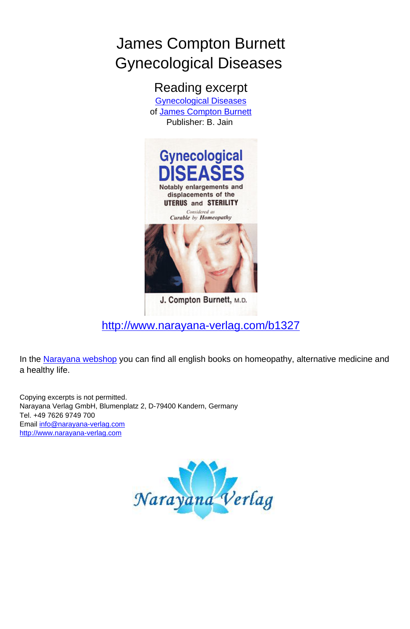

Reading excerpt [Gynecological Diseases](http://www.narayana-verlag.com/Gynecological-Diseases-James-Compton-Burnett/b1327/partner/leseprobe) of [James Compton Burnett](http://www.narayana-verlag.com/James-Compton-Burnett/a105/partner/leseprobe) Publisher: B. Jain



J. Compton Burnett, M.D.

[http://www.narayana-verlag.com/b1327](http://www.narayana-verlag.com/Gynecological-Diseases-James-Compton-Burnett/b1327/partner/leseprobe)

In the [Narayana webshop](http://www.narayana-verlag.com/partner/leseprobe) you can find all english books on homeopathy, alternative medicine and a healthy life.

Copying excerpts is not permitted. Narayana Verlag GmbH, Blumenplatz 2, D-79400 Kandern, Germany Tel. +49 7626 9749 700 Email *[info@narayana-verlag.com](mailto:info@narayana-verlag.com)*<br>[http://www.narayana-verlag.com](http://www.narayana-verlag.com/partner/leseprobe)

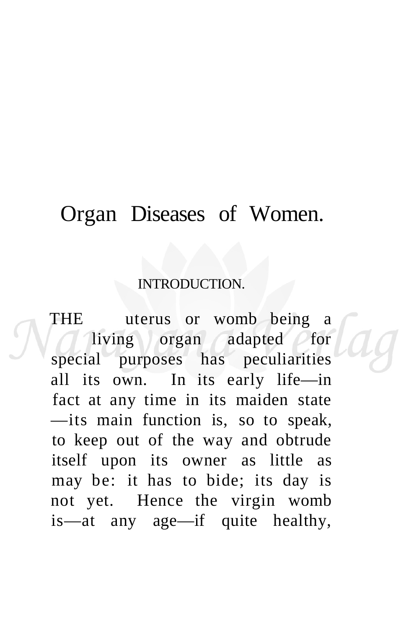## Organ Diseases of Women.

#### INTRODUCTION.

THE uterus or womb being a living organ adapted for special purposes has peculiarities all its own. In its early life—in fact at any time in its maiden state —its main function is, so to speak, to keep out of the way and obtrude itself upon its owner as little as may be: it has to bide; its day is not yet. Hence the virgin womb is—at any age—if quite healthy,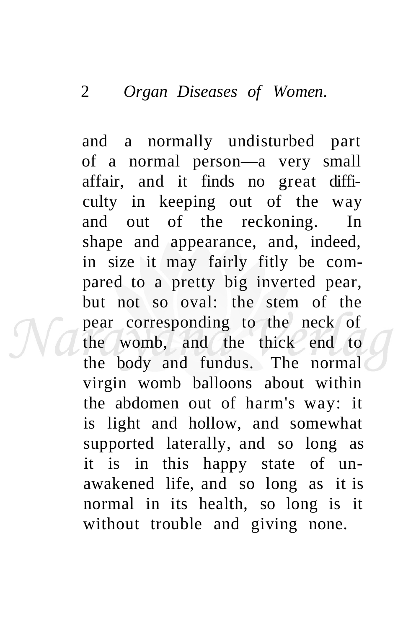and a normally undisturbed part of a normal person—a very small affair, and it finds no great difficulty in keeping out of the way and out of the reckoning. In shape and appearance, and, indeed, in size it may fairly fitly be compared to a pretty big inverted pear, but not so oval: the stem of the pear corresponding to the neck of the womb, and the thick end to the body and fundus. The normal virgin womb balloons about within the abdomen out of harm's way: it is light and hollow, and somewhat supported laterally, and so long as it is in this happy state of unawakened life, and so long as it is normal in its health, so long is it without trouble and giving none.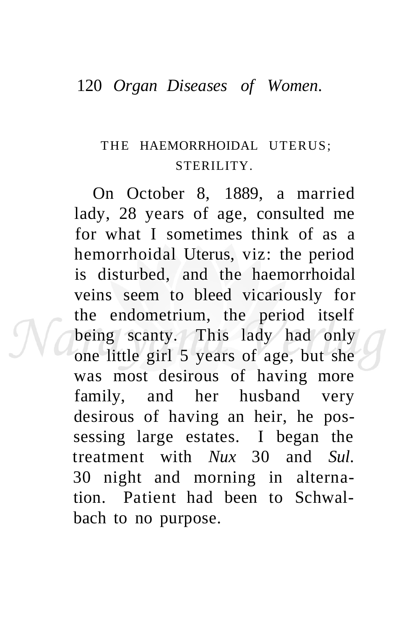#### 120 *Organ Diseases of Women.*

### THE HAEMORRHOIDAL UTERUS: STERILITY.

On October 8, 1889, a married lady, 28 years of age, consulted me for what I sometimes think of as a hemorrhoidal Uterus, viz: the period is disturbed, and the haemorrhoidal veins seem to bleed vicariously for the endometrium, the period itself being scanty. This lady had only one little girl 5 years of age, but she was most desirous of having more family, and her husband very desirous of having an heir, he possessing large estates. I began the treatment with *Nux* 30 and *Sul.*  30 night and morning in alternation. Patient had been to Schwalbach to no purpose.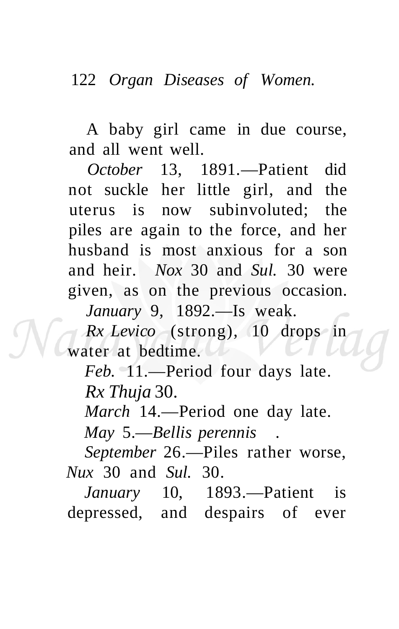A baby girl came in due course, and all went well.

*October* 13, 1891.—Patient did not suckle her little girl, and the uterus is now subinvoluted; the piles are again to the force, and her husband is most anxious for a son and heir. *Nox* 30 and *Sul.* 30 were given, as on the previous occasion.

*January* 9, 1892.—Is weak.

*Rx Levico* (strong), 10 drops in water at bedtime.

*Feb.* 11.—Period four days late. *Rx Thuja* 30.

*March* 14.—Period one day late.

*May* 5.—*Bellis perennis .* 

*September* 26.—Piles rather worse, *Nux* 30 and *Sul.* 30.

*January* 10, 1893.—Patient is depressed, and despairs of ever